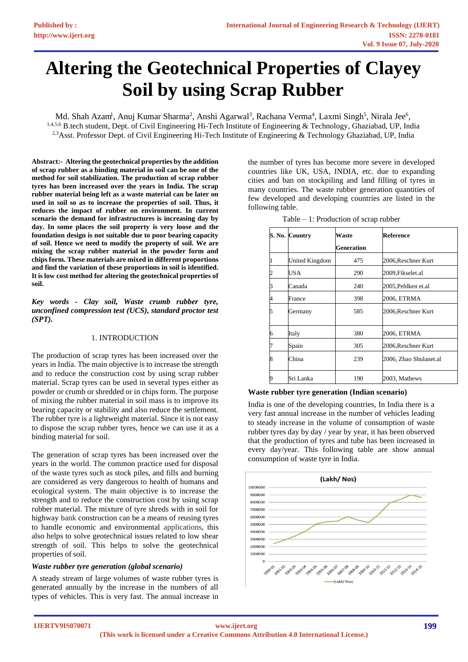# **Altering the Geotechnical Properties of Clayey Soil by using Scrap Rubber**

Md. Shah Azam<sup>1</sup>, Anuj Kumar Sharma<sup>2</sup>, Anshi Agarwal<sup>3</sup>, Rachana Verma<sup>4</sup>, Laxmi Singh<sup>5</sup>, Nirala Jee<sup>6</sup>, <sup>1,4,5,6</sup> B.tech student, Dept. of Civil Engineering Hi-Tech Institute of Engineering & Technology, Ghaziabad, UP, India <sup>2,3</sup>Asst. Professor Dept. of Civil Engineering Hi-Tech Institute of Engineering & Technology Ghaziabad, UP, India

**Abstract:- Altering the geotechnical properties by the addition of scrap rubber as a binding material in soil can be one of the method for soil stabilization. The production of scrap rubber tyres has been increased over the years in India. The scrap rubber material being left as a waste material can be later on used in soil so as to increase the properties of soil. Thus, it reduces the impact of rubber on environment. In current scenario the demand for infrastructures is increasing day by day. In some places the soil property is very loose and the foundation design is not suitable due to poor bearing capacity of soil. Hence we need to modify the property of soil. We are mixing the scrap rubber material in the powder form and chips form. These materials are mixed in different proportions and find the variation of these proportions in soil is identified. It is low cost method for altering the geotechnical properties of soil.**

*Key words - Clay soil, Waste crumb rubber tyre, unconfined compression test (UCS), standard proctor test (SPT).*

#### 1. INTRODUCTION

The production of scrap tyres has been increased over the years in India. The main objective is to increase the strength and to reduce the construction cost by using scrap rubber material. Scrap tyres can be used in several types either as powder or crumb or shredded or in chips form. The purpose of mixing the rubber material in soil mass is to improve its bearing capacity or stability and also reduce the settlement. The rubber tyre is a lightweight material. Since it is not easy to dispose the scrap rubber tyres, hence we can use it as a binding material for soil.

The generation of scrap tyres has been increased over the years in the world. The common practice used for disposal of the waste tyres such as stock piles, and fills and burning are considered as very dangerous to health of humans and ecological system. The main objective is to increase the strength and to reduce the construction cost by using scrap rubber material. The mixture of tyre shreds with in soil for highway bank construction can be a means of reusing tyres to handle economic and environmental applications, this also helps to solve geotechnical issues related to low shear strength of soil. This helps to solve the geotechnical properties of soil.

## *Waste rubber tyre generation (global scenario)*

A steady stream of large volumes of waste rubber tyres is generated annually by the increase in the numbers of all types of vehicles. This is very fast. The annual increase in the number of tyres has become more severe in developed countries like UK, USA, INDIA, etc. due to expanding cities and ban on stockpiling and land filling of tyres in many countries. The waste rubber generation quantities of few developed and developing countries are listed in the following table.

| S. No. Country          |                | Waste             | Reference              |  |
|-------------------------|----------------|-------------------|------------------------|--|
|                         |                | <b>Generation</b> |                        |  |
| $\mathbf{1}$            | United Kingdom | 475               | 2006, Reschner Kurt    |  |
| $\overline{\mathbf{c}}$ | USA            | 290               | 2009, Fikselet.al      |  |
| 3                       | Canada         | 240               | 2005, Pehlken et.al    |  |
| 4                       | France         | 398               | 2006, ETRMA            |  |
| 5                       | Germany        | 585               | 2006, Reschner Kurt    |  |
| 6                       | Italy          | 380               | 2006, ETRMA            |  |
| 7                       | Spain          | 305               | 2006,Reschner Kurt     |  |
| 8                       | China          | 239               | 2006, Zhao Shulanet.al |  |
| 9                       | Sri Lanka      | 190               | 2003, Mathews          |  |

Table – 1: Production of scrap rubber

## **Waste rubber tyre generation (Indian scenario)**

India is one of the developing countries, In India there is a very fast annual increase in the number of vehicles leading to steady increase in the volume of consumption of waste rubber tyres day by day / year by year, it has been observed that the production of tyres and tube has been increased in every day/year. This following table are show annual consumption of waste tyre in India.

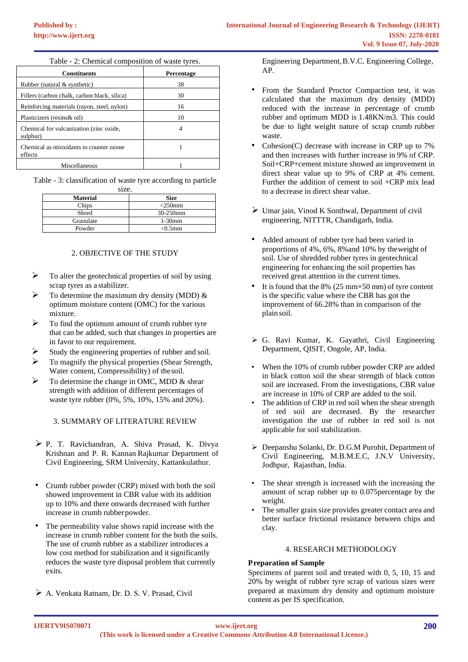| <b>Constituents</b>                                 | <b>Percentage</b> |
|-----------------------------------------------------|-------------------|
| Rubber (natural & synthetic)                        | 38                |
| Fillers (carbon chalk, carbon black, silica)        | 30                |
| Reinforcing materials (rayon, steel, nylon)         | 16                |
| Plasticizers (resins & oil)                         | 10                |
| Chemical for vulcanization (zinc oxide,<br>sulphur) |                   |
| Chemical as ntioxidants to counter ozone<br>effects |                   |
| Miscellaneous                                       |                   |

Table - 2: Chemical composition of waste tyres.

Table - 3: classification of waste tyre according to particle size.

| <b>Material</b> | <b>Size</b> |
|-----------------|-------------|
| Chips           | $<$ 250mm   |
| Shred           | 30-250mm    |
| Granulate       | $1-30$ mm   |
| Powder          | $< 0.5$ mm  |

## 2. OBJECTIVE OF THE STUDY

- $\triangleright$  To alter the geotechnical properties of soil by using scrap tyres as a stabilizer.
- $\triangleright$  To determine the maximum dry density (MDD) & optimum moisture content (OMC) for the various mixture.
- $\triangleright$  To find the optimum amount of crumb rubber tyre that can be added, such that changes in properties are in favor to our requirement.
- ➢ Study the engineering properties of rubber and soil.
- ➢ To magnify the physical properties (Shear Strength, Water content, Compressibility) of thesoil.
- $\triangleright$  To determine the change in OMC, MDD & shear strength with addition of different percentages of waste tyre rubber (0%, 5%, 10%, 15% and 20%).

# 3. SUMMARY OF LITERATURE REVIEW

- ➢ P. T. Ravichandran, A. Shiva Prasad, K. Divya Krishnan and P. R. Kannan Rajkumar Department of Civil Engineering, SRM University, Kattankulathur.
- Crumb rubber powder (CRP) mixed with both the soil showed improvement in CBR value with its addition up to 10% and there onwards decreased with further increase in crumb rubber powder.
- The permeability value shows rapid increase with the increase in crumb rubber content for the both the soils. The use of crumb rubber as a stabilizer introduces a low cost method for stabilization and it significantly reduces the waste tyre disposal problem that currently exits.
- ➢ A. Venkata Ratnam, Dr. D. S. V. Prasad, Civil

Engineering Department,B.V.C. Engineering College, AP.

- From the Standard Proctor Compaction test, it was calculated that the maximum dry density (MDD) reduced with the increase in percentage of crumb rubber and optimum MDD is 1.48KN/m3. This could be due to light weight nature of scrap crumb rubber waste.
- Cohesion(C) decrease with increase in CRP up to 7% and then increases with further increase in 9% of CRP. Soil+CRP+cement mixture showed an improvement in direct shear value up to 9% of CRP at 4% cement. Further the addition of cement to soil +CRP mix lead to a decrease in direct shear value.
- ➢ Umar jain, Vinod K Sonthwal, Department of civil engineering, NITTTR, Chandigarh, India.
- Added amount of rubber tyre had been varied in proportions of 4%, 6%, 8%and 10% by theweight of soil. Use of shredded rubber tyres in geotechnical engineering for enhancing the soil properties has received great attention in the current times.
- It is found that the 8% (25 mm $\times$ 50 mm) of tyre content is the specific value where the CBR has got the improvement of 66.28% than in comparison of the plain soil.
- ➢ G. Ravi Kumar, K. Gayathri, Civil Engineering Department, QISIT, Ongole, AP, India.
- When the 10% of crumb rubber powder CRP are added in black cotton soil the shear strength of black cotton soil are increased. From the investigations, CBR value are increase in 10% of CRP are added to the soil.
- The addition of CRP in red soil when the shear strength of red soil are decreased. By the researcher investigation the use of rubber in red soil is not applicable for soil stabilization.
- ➢ Deepanshu Solanki, Dr. D.G.M Purohit, Department of Civil Engineering, M.B.M.E.C, J.N.V University, Jodhpur, Rajasthan, India.
- The shear strength is increased with the increasing the amount of scrap rubber up to 0.075percentage by the weight.
- The smaller grain size provides greater contact area and better surface frictional resistance between chips and clay.

# 4. RESEARCH METHODOLOGY

# **Preparation of Sample**

Specimens of parent soil and treated with 0, 5, 10, 15 and 20% by weight of rubber tyre scrap of various sizes were prepared at maximum dry density and optimum moisture content as per IS specification.

**IJERTV9IS070071**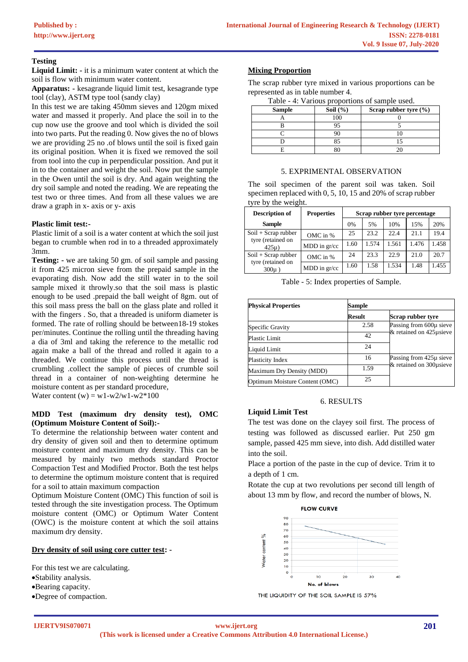## **Testing**

**Liquid Limit: -** it is a minimum water content at which the soil is flow with minimum water content.

**Apparatus: -** kesagrande liquid limit test, kesagrande type tool (clay), ASTM type tool (sandy clay)

In this test we are taking 450mm sieves and 120gm mixed water and massed it properly. And place the soil in to the cup now use the groove and tool which is divided the soil into two parts. Put the reading 0. Now gives the no of blows we are providing 25 no .of blows until the soil is fixed gain its original position. When it is fixed we removed the soil from tool into the cup in perpendicular possition. And put it in to the container and weight the soil. Now put the sample in the Owen until the soil is dry. And again weighting the dry soil sample and noted the reading. We are repeating the test two or three times. And from all these values we are draw a graph in x- axis or y- axis

## **Plastic limit test:-**

Plastic limit of a soil is a water content at which the soil just began to crumble when rod in to a threaded approximately 3mm.

**Testing: -** we are taking 50 gm. of soil sample and passing it from 425 micron sieve from the prepaid sample in the evaporating dish. Now add the still water in to the soil sample mixed it throwly.so that the soil mass is plastic enough to be used .prepaid the ball weight of 8gm. out of this soil mass press the ball on the glass plate and rolled it with the fingers . So, that a threaded is uniform diameter is formed. The rate of rolling should be between18-19 stokes per/minutes. Continue the rolling until the threading having a dia of 3ml and taking the reference to the metallic rod again make a ball of the thread and rolled it again to a threaded. We continue this process until the thread is crumbling .collect the sample of pieces of crumble soil thread in a container of non-weighting determine he moisture content as per standard procedure, Water content (w) = w1-w2/w1-w2\*100

#### **MDD Test (maximum dry density test), OMC (Optimum Moisture Content of Soil):-**

To determine the relationship between water content and dry density of given soil and then to determine optimum moisture content and maximum dry density. This can be measured by mainly two methods standard Proctor Compaction Test and Modified Proctor. Both the test helps to determine the optimum moisture content that is required for a soil to attain maximum compaction

Optimum Moisture Content (OMC) This function of soil is tested through the site investigation process. The Optimum moisture content (OMC) or Optimum Water Content (OWC) is the moisture content at which the soil attains maximum dry density.

## **Dry density of soil using core cutter test: -**

For this test we are calculating. •Stability analysis.

- •Bearing capacity.
- •Degree of compaction.

## **Mixing Proportion**

The scrap rubber tyre mixed in various proportions can be represented as in table number 4.

Table - 4: Various proportions of sample used.

| -- ---- ---   |              |                           |  |  |  |
|---------------|--------------|---------------------------|--|--|--|
| <b>Sample</b> | Soil $(\% )$ | Scrap rubber tyre $(\% )$ |  |  |  |
|               | 100          |                           |  |  |  |
|               | 95           |                           |  |  |  |
|               |              |                           |  |  |  |
|               |              |                           |  |  |  |
|               |              |                           |  |  |  |

#### 5. EXPRIMENTAL OBSERVATION

The soil specimen of the parent soil was taken. Soil specimen replaced with 0, 5, 10, 15 and 20% of scrap rubber tyre by the weight.

| <b>Description of</b>           | <b>Properties</b> | Scrap rubber tyre percentage |       |       |       |       |
|---------------------------------|-------------------|------------------------------|-------|-------|-------|-------|
| <b>Sample</b>                   |                   | 0%                           | 5%    | 10%   | 15%   | 20%   |
| $Soil + Scrap\ rubber$          | OMC in %          | 25                           | 23.2  | 22.4  | 21.1  | 19.4  |
| tyre (retained on<br>$425\mu$ ) | MDD in gr/cc      | 1.60                         | 1.574 | 1.561 | 1.476 | 1.458 |
| $Soil + Scrap\ rubber$          | OMC in %          | 24                           | 23.3  | 22.9  | 21.0  | 20.7  |
| tyre (retained on<br>$300\mu$ ) | $MDD$ in $gr/cc$  | 1.60                         | 1.58  | 1.534 | 1.48  | 1.455 |

Table - 5: Index properties of Sample.

| <b>Physical Properties</b>     | Sample |                          |  |  |
|--------------------------------|--------|--------------------------|--|--|
|                                | Result | Scrap rubber tyre        |  |  |
| <b>Specific Gravity</b>        | 2.58   | Passing from 600µ sieve  |  |  |
| Plastic Limit                  | 42     | & retained on 425 usieve |  |  |
| Liquid Limit                   | 24     |                          |  |  |
| Plasticity Index               | 16     | Passing from 425µ sieve  |  |  |
| Maximum Dry Density (MDD)      | 1.59   | & retained on 300usieve  |  |  |
| Optimum Moisture Content (OMC) | 25     |                          |  |  |

# 6. RESULTS

#### **Liquid Limit Test**

The test was done on the clayey soil first. The process of testing was followed as discussed earlier. Put 250 gm sample, passed 425 mm sieve, into dish. Add distilled water into the soil.

Place a portion of the paste in the cup of device. Trim it to a depth of 1 cm.

Rotate the cup at two revolutions per second till length of about 13 mm by flow, and record the number of blows, N.



THE LIQUIDITY OF THE SOIL SAMPLE IS 57%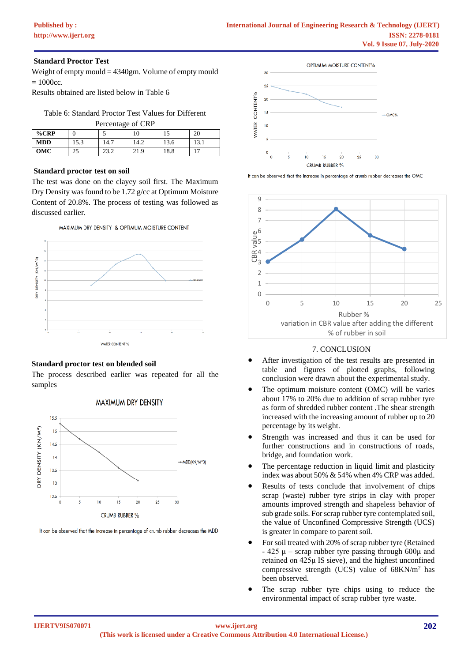#### **Standard Proctor Test**

Weight of empty mould = 4340gm. Volume of empty mould  $= 1000c$ c.

Results obtained are listed below in Table 6

Table 6: Standard Proctor Test Values for Different

| Percentage of CRP |      |      |      |      |      |  |
|-------------------|------|------|------|------|------|--|
| %CRP              |      |      |      |      | 20   |  |
| <b>MDD</b>        | 15.3 | 14.7 | 14.2 | 13.6 | 13.1 |  |
| OMC               |      | 23.2 | 21.9 | 18.8 | -    |  |

#### **Standard proctor test on soil**

The test was done on the clayey soil first. The Maximum Dry Density was found to be 1.72 g/cc at Optimum Moisture Content of 20.8%. The process of testing was followed as discussed earlier.





## **Standard proctor test on blended soil**

The process described earlier was repeated for all the samples



**MAXIMUM DRY DENSITY** 

It can be observed that the increase in percentage of crumb rubber decreases the MDD



It can be observed that the increase in percentage of crumb rubber decreases the OMC



#### 7. CONCLUSION

- After investigation of the test results are presented in table and figures of plotted graphs, following conclusion were drawn about the experimental study.
- The optimum moisture content (OMC) will be varies about 17% to 20% due to addition of scrap rubber tyre as form of shredded rubber content .The shear strength increased with the increasing amount of rubber up to 20 percentage by its weight.
- Strength was increased and thus it can be used for further constructions and in constructions of roads, bridge, and foundation work.
- The percentage reduction in liquid limit and plasticity index was about 50% & 54% when 4% CRP was added.
- Results of tests conclude that involvement of chips scrap (waste) rubber tyre strips in clay with proper amounts improved strength and shapeless behavior of sub grade soils. For scrap rubber tyre contemplated soil, the value of Unconfined Compressive Strength (UCS) is greater in compare to parent soil.
- For soil treated with 20% of scrap rubber tyre (Retained  $-425 \mu$  – scrap rubber tyre passing through 600 $\mu$  and retained on 425μ IS sieve), and the highest unconfined compressive strength (UCS) value of 68KN/m<sup>2</sup> has been observed.
- The scrap rubber tyre chips using to reduce the environmental impact of scrap rubber tyre waste.